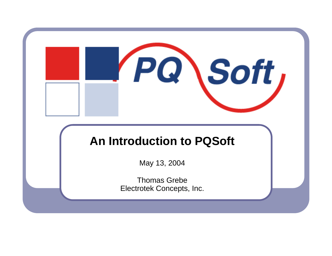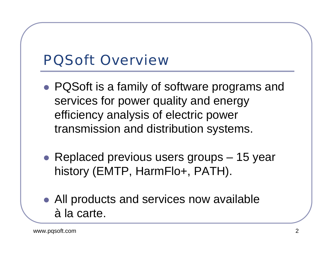### PQSoft Overview

- PQSoft is a family of software programs and services for power quality and energy efficiency analysis of electric power transmission and distribution systems.
- Replaced previous users groups  $-15$  year history (EMTP, HarmFlo+, PATH).
- All products and services now available à la carte.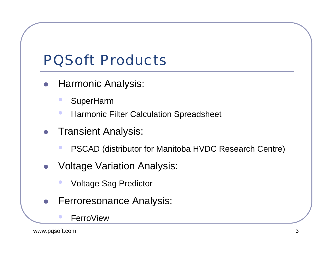# PQSoft Products

- $\bullet$  Harmonic Analysis:
	- $\bullet$ SuperHarm
	- $\bullet$ Harmonic Filter Calculation Spreadsheet
- $\bullet$  Transient Analysis:
	- $\bullet$ PSCAD (distributor for Manitoba HVDC Research Centre)
- $\bullet$  Voltage Variation Analysis:
	- $\bullet$ Voltage Sag Predictor
- $\bullet$  Ferroresonance Analysis:
	- FerroView

 $\bullet$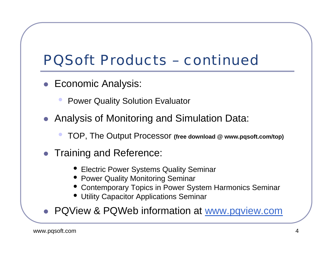# PQSoft Products – continued

- Economic Analysis:
	- $\bullet$ Power Quality Solution Evaluator
- Analysis of Monitoring and Simulation Data:
	- $\bullet$ TOP, The Output Processor **(free download @ www.pqsoft.com/top)**
- **Training and Reference:** 
	- Electric Power Systems Quality Seminar
	- Power Quality Monitoring Seminar
	- Contemporary Topics in Power System Harmonics Seminar
	- Utility Capacitor Applications Seminar

• PQView & PQWeb information at www.pqview.com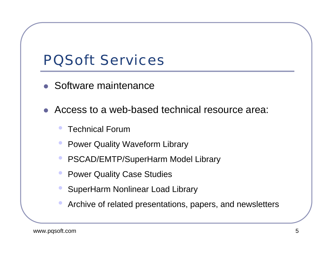### PQSoft Services

- Software maintenance
- $\bullet$  Access to a web-based technical resource area:
	- $\bullet$ Technical Forum
	- $\bullet$ Power Quality Waveform Library
	- $\bullet$ PSCAD/EMTP/SuperHarm Model Library
	- $\bullet$ Power Quality Case Studies
	- $\bullet$ SuperHarm Nonlinear Load Library
	- $\bullet$ Archive of related presentations, papers, and newsletters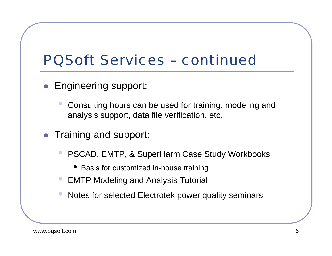## PQSoft Services – continued

- Engineering support:
	- $\bullet$  Consulting hours can be used for training, modeling and analysis support, data file verification, etc.
- Training and support:
	- $\bullet$  PSCAD, EMTP, & SuperHarm Case Study Workbooks
		- Basis for customized in-house training
	- **EMTP Modeling and Analysis Tutorial**
	- $\bullet$ Notes for selected Electrotek power quality seminars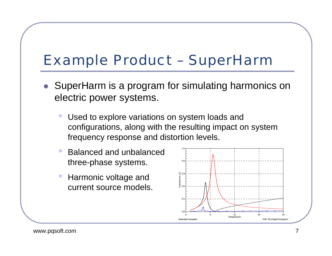## Example Product – SuperHarm

- SuperHarm is a program for simulating harmonics on electric power systems.
	- $\bullet$  Used to explore variations on system loads and configurations, along with the resulting impact on system frequency response and distortion levels.
	- $\bullet$  Balanced and unbalancedthree-phase systems.
	- $\bullet$  Harmonic voltage and current source models.

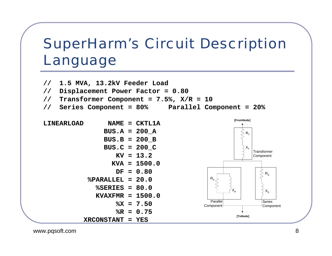# SuperHarm's Circuit Description Language

![](_page_7_Figure_1.jpeg)

![](_page_7_Figure_2.jpeg)

www.pqsoft.com 8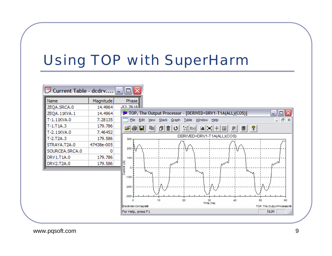# Using TOP with SuperHarm

![](_page_8_Figure_1.jpeg)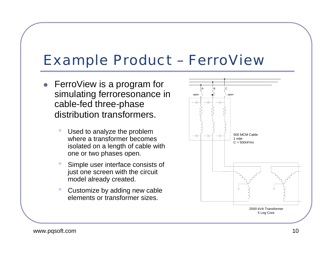#### Example Product – FerroView

- FerroView is a program for simulating ferroresonance in cable-fed three-phase distribution transformers.
	- $\bullet$  Used to analyze the problem where a transformer becomes isolated on a length of cable with one or two phases open.
	- $\bullet$  Simple user interface consists of just one screen with the circuit model already created.
	- $\bullet$  Customize by adding new cable elements or transformer sizes.

![](_page_9_Figure_5.jpeg)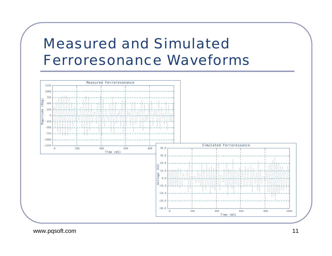#### Measured and Simulated Ferroresonance Waveforms

![](_page_10_Figure_1.jpeg)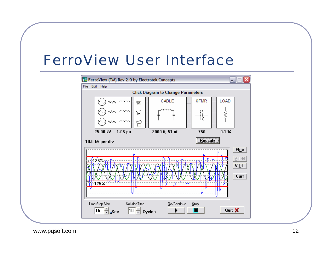#### FerroView User Interface

![](_page_11_Figure_1.jpeg)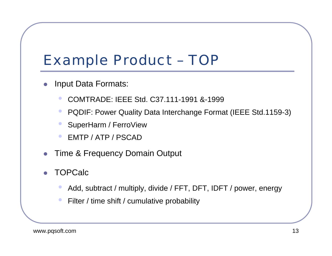## Example Product – TOP

- $\bullet$  Input Data Formats:
	- $\bullet$ COMTRADE: IEEE Std. C37.111-1991 &-1999
	- $\bullet$ PQDIF: Power Quality Data Interchange Format (IEEE Std.1159-3)
	- $\bullet$ SuperHarm / FerroView
	- $\bullet$ EMTP / ATP / PSCAD
- $\bullet$ Time & Frequency Domain Output
- $\bullet$  TOPCalc
	- $\bullet$ Add, subtract / multiply, divide / FFT, DFT, IDFT / power, energy
	- $\bullet$ Filter / time shift / cumulative probability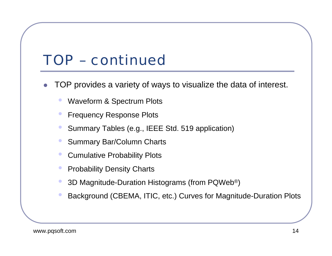## TOP – continued

- $\bullet$  TOP provides a variety of ways to visualize the data of interest.
	- $\bullet$ Waveform & Spectrum Plots
	- $\bullet$ Frequency Response Plots
	- $\bullet$ Summary Tables (e.g., IEEE Std. 519 application)
	- $\bullet$ Summary Bar/Column Charts
	- $\bullet$ Cumulative Probability Plots
	- $\bullet$ Probability Density Charts
	- $\bullet$ 3D Magnitude-Duration Histograms (from PQWeb®)
	- $\bullet$ Background (CBEMA, ITIC, etc.) Curves for Magnitude-Duration Plots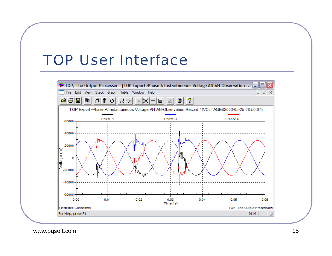#### TOP User Interface

![](_page_14_Figure_1.jpeg)

www.pqsoft.com 15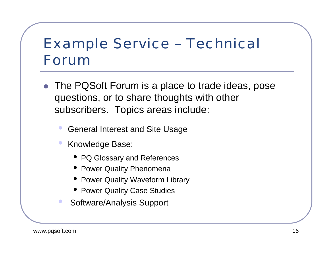# Example Service – Technical Forum

- The PQSoft Forum is a place to trade ideas, pose questions, or to share thoughts with other subscribers. Topics areas include:
	- $\bullet$ General Interest and Site Usage
	- $\bullet$  Knowledge Base:
		- PQ Glossary and References
		- **Power Quality Phenomena**
		- Power Quality Waveform Library
		- Power Quality Case Studies
		- Software/Analysis Support

 $\bullet$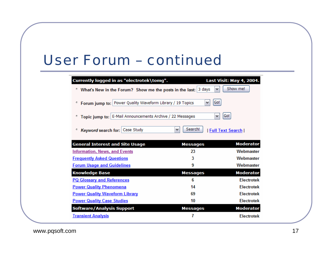#### User Forum – continued

| Currently logged in as "electrotek\tomg".                      |                 | Last Visit: May 4, 2004. |
|----------------------------------------------------------------|-----------------|--------------------------|
| What's New in the Forum? Show me the posts in the last:        | 3 days<br>٧     | Show me!                 |
| Forum jump to: Power Quality Waveform Library / 19 Topics<br>۰ | Go!<br>٧        |                          |
| Topic jump to: E-Mail Announcements Archive / 22 Messages<br>۰ | v               | Go!                      |
| Case Study<br>Keyword search for:<br>۰                         | Search!<br>v    | Full Text Search         |
| <b>General Interest and Site Usage</b>                         | <b>Messages</b> | <b>Moderator</b>         |
| <b>Information, News, and Events</b>                           | 23              | Webmaster                |
| <b>Frequently Asked Questions</b>                              | 3               | Webmaster                |
| <b>Forum Usage and Guidelines</b>                              | 9               | Webmaster                |
| <b>Knowledge Base</b>                                          | <b>Messages</b> | <b>Moderator</b>         |
| <b>PQ Glossary and References</b>                              | 6               | <b>Electrotek</b>        |
| <b>Power Quality Phenomena</b>                                 | 14              | <b>Electrotek</b>        |
| <b>Power Quality Waveform Library</b>                          | 69              | <b>Electrotek</b>        |
| <b>Power Quality Case Studies</b>                              | 10              | <b>Electrotek</b>        |
| <b>Software/Analysis Support</b>                               | <b>Messages</b> | <b>Moderator</b>         |
| <b>Transient Analysis</b>                                      | 7               | <b>Flectrotek</b>        |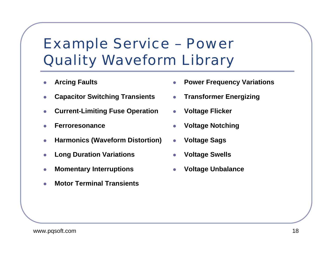# Example Service – Power Quality Waveform Library

- z**Arcing Faults**
- z**Capacitor Switching Transients**
- z**Current-Limiting Fuse Operation**
- z**Ferroresonance**
- z**Harmonics (Waveform Distortion)**
- z**Long Duration Variations**
- z**Momentary Interruptions**
- z**Motor Terminal Transients**
- z**Power Frequency Variations**
- $\bullet$ **Transformer Energizing**
- z**Voltage Flicker**
- z**Voltage Notching**
- z**Voltage Sags**
- z**Voltage Swells**
- z**Voltage Unbalance**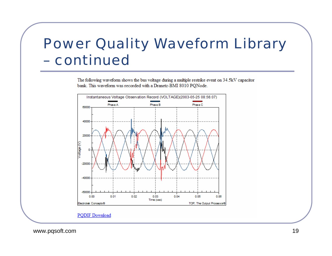#### Power Quality Waveform Library – continued

The following waveform shows the bus voltage during a multiple restrike event on 34.5kV capacitor bank. This waveform was recorded with a Dranetz-BMI 8010 PQNode.

![](_page_18_Figure_2.jpeg)

www.pqsoft.com 19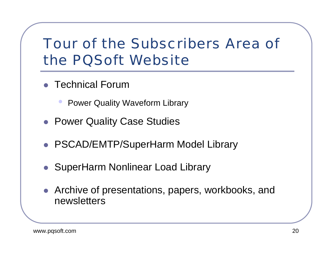# Tour of the Subscribers Area of the PQSoft Website

- Technical Forum
	- $\bullet$ Power Quality Waveform Library
- Power Quality Case Studies
- PSCAD/EMTP/SuperHarm Model Library
- SuperHarm Nonlinear Load Library
- Archive of presentations, papers, workbooks, and newsletters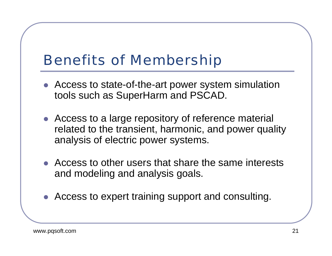## Benefits of Membership

- Access to state-of-the-art power system simulation tools such as SuperHarm and PSCAD.
- Access to a large repository of reference material related to the transient, harmonic, and power quality analysis of electric power systems.
- $\bullet$  Access to other users that share the same interests and modeling and analysis goals.
- Access to expert training support and consulting.